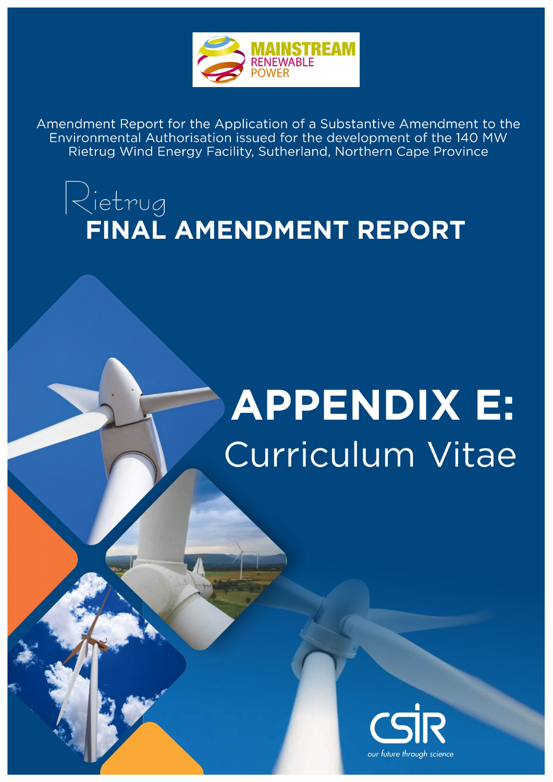

Amendment Report for the Application of a Substantive Amendment to the Environmental Authorisation issued for the development of the 140 MW Rietrug Wind Energy Facility, Sutherland, Northern Cape Province

## $|\!\!\downarrow$ ietrug FINAL AMENDMENT REPORT

# **APPENDIX E:** Curriculum Vitae

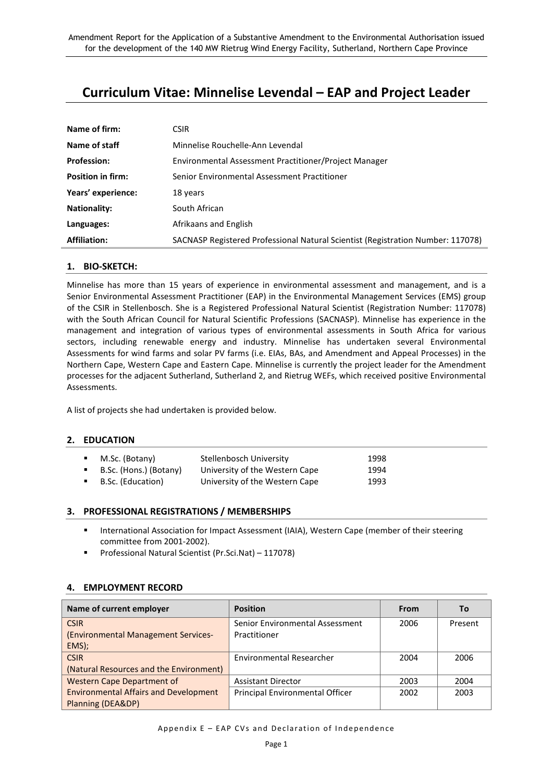### **Curriculum Vitae: Minnelise Levendal – EAP and Project Leader**

| Name of firm:            | <b>CSIR</b>                                                                     |
|--------------------------|---------------------------------------------------------------------------------|
| Name of staff            | Minnelise Rouchelle-Ann Levendal                                                |
| <b>Profession:</b>       | Environmental Assessment Practitioner/Project Manager                           |
| <b>Position in firm:</b> | Senior Environmental Assessment Practitioner                                    |
| Years' experience:       | 18 years                                                                        |
| <b>Nationality:</b>      | South African                                                                   |
| Languages:               | Afrikaans and English                                                           |
| <b>Affiliation:</b>      | SACNASP Registered Professional Natural Scientist (Registration Number: 117078) |

#### **1. BIO-SKETCH:**

Minnelise has more than 15 years of experience in environmental assessment and management, and is a Senior Environmental Assessment Practitioner (EAP) in the Environmental Management Services (EMS) group of the CSIR in Stellenbosch. She is a Registered Professional Natural Scientist (Registration Number: 117078) with the South African Council for Natural Scientific Professions (SACNASP). Minnelise has experience in the management and integration of various types of environmental assessments in South Africa for various sectors, including renewable energy and industry. Minnelise has undertaken several Environmental Assessments for wind farms and solar PV farms (i.e. EIAs, BAs, and Amendment and Appeal Processes) in the Northern Cape, Western Cape and Eastern Cape. Minnelise is currently the project leader for the Amendment processes for the adjacent Sutherland, Sutherland 2, and Rietrug WEFs, which received positive Environmental Assessments.

A list of projects she had undertaken is provided below.

#### **2. EDUCATION**

| $\blacksquare$ M.Sc. (Botany) | Stellenbosch University        | 1998 |
|-------------------------------|--------------------------------|------|
| B.Sc. (Hons.) (Botany)        | University of the Western Cape | 1994 |
| B.Sc. (Education)             | University of the Western Cape | 1993 |

#### **3. PROFESSIONAL REGISTRATIONS / MEMBERSHIPS**

- International Association for Impact Assessment (IAIA), Western Cape (member of their steering committee from 2001-2002).
- Professional Natural Scientist (Pr.Sci.Nat) 117078)

#### **4. EMPLOYMENT RECORD**

| Name of current employer                     | <b>Position</b>                 | <b>From</b> | To      |
|----------------------------------------------|---------------------------------|-------------|---------|
| <b>CSIR</b>                                  | Senior Environmental Assessment | 2006        | Present |
| (Environmental Management Services-          | Practitioner                    |             |         |
| EMS);                                        |                                 |             |         |
| <b>CSIR</b>                                  | <b>Environmental Researcher</b> | 2004        | 2006    |
| (Natural Resources and the Environment)      |                                 |             |         |
| <b>Western Cape Department of</b>            | <b>Assistant Director</b>       | 2003        | 2004    |
| <b>Environmental Affairs and Development</b> | Principal Environmental Officer | 2002        | 2003    |
| <b>Planning (DEA&amp;DP)</b>                 |                                 |             |         |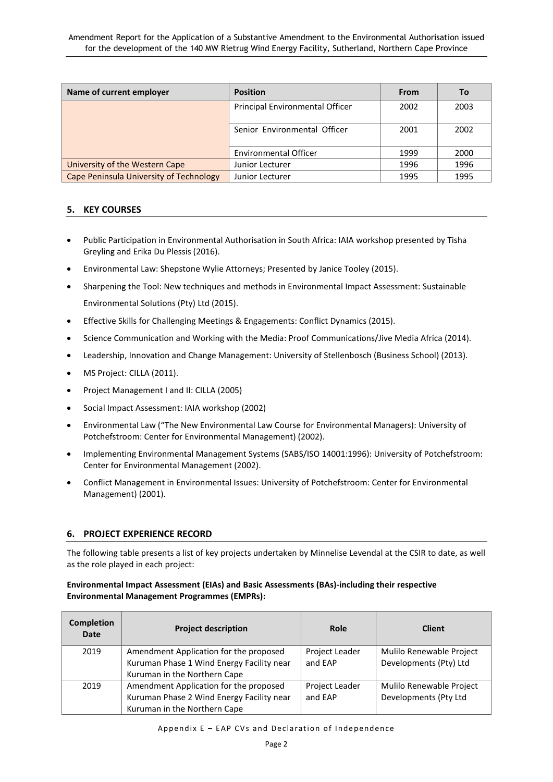| Name of current employer                | <b>Position</b>                 | From | To   |
|-----------------------------------------|---------------------------------|------|------|
|                                         | Principal Environmental Officer | 2002 | 2003 |
|                                         | Senior Environmental Officer    | 2001 | 2002 |
|                                         | <b>Environmental Officer</b>    | 1999 | 2000 |
| University of the Western Cape          | Junior Lecturer                 | 1996 | 1996 |
| Cape Peninsula University of Technology | Junior Lecturer                 | 1995 | 1995 |

#### **5. KEY COURSES**

- Public Participation in Environmental Authorisation in South Africa: IAIA workshop presented by Tisha Greyling and Erika Du Plessis (2016).
- Environmental Law: Shepstone Wylie Attorneys; Presented by Janice Tooley (2015).
- Sharpening the Tool: New techniques and methods in Environmental Impact Assessment: Sustainable Environmental Solutions (Pty) Ltd (2015).
- Effective Skills for Challenging Meetings & Engagements: Conflict Dynamics (2015).
- Science Communication and Working with the Media: Proof Communications/Jive Media Africa (2014).
- Leadership, Innovation and Change Management: University of Stellenbosch (Business School) (2013).
- MS Project: CILLA (2011).
- Project Management I and II: CILLA (2005)
- Social Impact Assessment: IAIA workshop (2002)
- Environmental Law ("The New Environmental Law Course for Environmental Managers): University of Potchefstroom: Center for Environmental Management) (2002).
- Implementing Environmental Management Systems (SABS/ISO 14001:1996): University of Potchefstroom: Center for Environmental Management (2002).
- Conflict Management in Environmental Issues: University of Potchefstroom: Center for Environmental Management) (2001).

#### **6. PROJECT EXPERIENCE RECORD**

The following table presents a list of key projects undertaken by Minnelise Levendal at the CSIR to date, as well as the role played in each project:

#### **Environmental Impact Assessment (EIAs) and Basic Assessments (BAs)-including their respective Environmental Management Programmes (EMPRs):**

| <b>Completion</b><br><b>Date</b> | <b>Project description</b>                                                                                          | Role                      | <b>Client</b>                                      |
|----------------------------------|---------------------------------------------------------------------------------------------------------------------|---------------------------|----------------------------------------------------|
| 2019                             | Amendment Application for the proposed<br>Kuruman Phase 1 Wind Energy Facility near<br>Kuruman in the Northern Cape | Project Leader<br>and EAP | Mulilo Renewable Project<br>Developments (Pty) Ltd |
| 2019                             | Amendment Application for the proposed<br>Kuruman Phase 2 Wind Energy Facility near<br>Kuruman in the Northern Cape | Project Leader<br>and EAP | Mulilo Renewable Project<br>Developments (Pty Ltd  |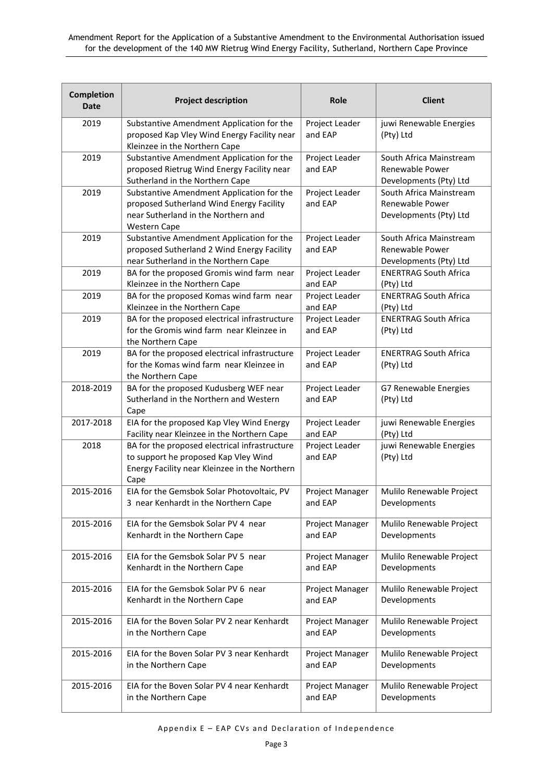| Completion<br><b>Date</b> | <b>Project description</b>                                                                                                                          | Role                      | <b>Client</b>                                                        |
|---------------------------|-----------------------------------------------------------------------------------------------------------------------------------------------------|---------------------------|----------------------------------------------------------------------|
| 2019                      | Substantive Amendment Application for the<br>proposed Kap Vley Wind Energy Facility near<br>Kleinzee in the Northern Cape                           | Project Leader<br>and EAP | juwi Renewable Energies<br>(Pty) Ltd                                 |
| 2019                      | Substantive Amendment Application for the<br>proposed Rietrug Wind Energy Facility near<br>Sutherland in the Northern Cape                          | Project Leader<br>and EAP | South Africa Mainstream<br>Renewable Power<br>Developments (Pty) Ltd |
| 2019                      | Substantive Amendment Application for the<br>proposed Sutherland Wind Energy Facility<br>near Sutherland in the Northern and<br><b>Western Cape</b> | Project Leader<br>and EAP | South Africa Mainstream<br>Renewable Power<br>Developments (Pty) Ltd |
| 2019                      | Substantive Amendment Application for the<br>proposed Sutherland 2 Wind Energy Facility<br>near Sutherland in the Northern Cape                     | Project Leader<br>and EAP | South Africa Mainstream<br>Renewable Power<br>Developments (Pty) Ltd |
| 2019                      | BA for the proposed Gromis wind farm near                                                                                                           | Project Leader            | <b>ENERTRAG South Africa</b>                                         |
|                           | Kleinzee in the Northern Cape                                                                                                                       | and EAP                   | (Pty) Ltd                                                            |
| 2019                      | BA for the proposed Komas wind farm near                                                                                                            | Project Leader            | <b>ENERTRAG South Africa</b>                                         |
|                           | Kleinzee in the Northern Cape                                                                                                                       | and EAP                   | (Pty) Ltd                                                            |
| 2019                      | BA for the proposed electrical infrastructure<br>for the Gromis wind farm near Kleinzee in<br>the Northern Cape                                     | Project Leader<br>and EAP | <b>ENERTRAG South Africa</b><br>(Pty) Ltd                            |
| 2019                      | BA for the proposed electrical infrastructure<br>for the Komas wind farm near Kleinzee in<br>the Northern Cape                                      | Project Leader<br>and EAP | <b>ENERTRAG South Africa</b><br>(Pty) Ltd                            |
| 2018-2019                 | BA for the proposed Kudusberg WEF near<br>Sutherland in the Northern and Western<br>Cape                                                            | Project Leader<br>and EAP | G7 Renewable Energies<br>(Pty) Ltd                                   |
| 2017-2018                 | EIA for the proposed Kap Vley Wind Energy                                                                                                           | Project Leader            | juwi Renewable Energies                                              |
|                           | Facility near Kleinzee in the Northern Cape                                                                                                         | and EAP                   | (Pty) Ltd                                                            |
| 2018                      | BA for the proposed electrical infrastructure<br>to support he proposed Kap Vley Wind<br>Energy Facility near Kleinzee in the Northern<br>Cape      | Project Leader<br>and EAP | juwi Renewable Energies<br>(Pty) Ltd                                 |
| 2015-2016                 | EIA for the Gemsbok Solar Photovoltaic, PV                                                                                                          | Project Manager           | Mulilo Renewable Project                                             |
|                           | 3 near Kenhardt in the Northern Cape                                                                                                                | and EAP                   | Developments                                                         |
| 2015-2016                 | EIA for the Gemsbok Solar PV 4 near                                                                                                                 | Project Manager           | Mulilo Renewable Project                                             |
|                           | Kenhardt in the Northern Cape                                                                                                                       | and EAP                   | Developments                                                         |
| 2015-2016                 | EIA for the Gemsbok Solar PV 5 near                                                                                                                 | Project Manager           | Mulilo Renewable Project                                             |
|                           | Kenhardt in the Northern Cape                                                                                                                       | and EAP                   | Developments                                                         |
| 2015-2016                 | EIA for the Gemsbok Solar PV 6 near                                                                                                                 | Project Manager           | Mulilo Renewable Project                                             |
|                           | Kenhardt in the Northern Cape                                                                                                                       | and EAP                   | Developments                                                         |
| 2015-2016                 | EIA for the Boven Solar PV 2 near Kenhardt                                                                                                          | Project Manager           | Mulilo Renewable Project                                             |
|                           | in the Northern Cape                                                                                                                                | and EAP                   | Developments                                                         |
| 2015-2016                 | EIA for the Boven Solar PV 3 near Kenhardt                                                                                                          | Project Manager           | Mulilo Renewable Project                                             |
|                           | in the Northern Cape                                                                                                                                | and EAP                   | Developments                                                         |
| 2015-2016                 | EIA for the Boven Solar PV 4 near Kenhardt                                                                                                          | Project Manager           | Mulilo Renewable Project                                             |
|                           | in the Northern Cape                                                                                                                                | and EAP                   | Developments                                                         |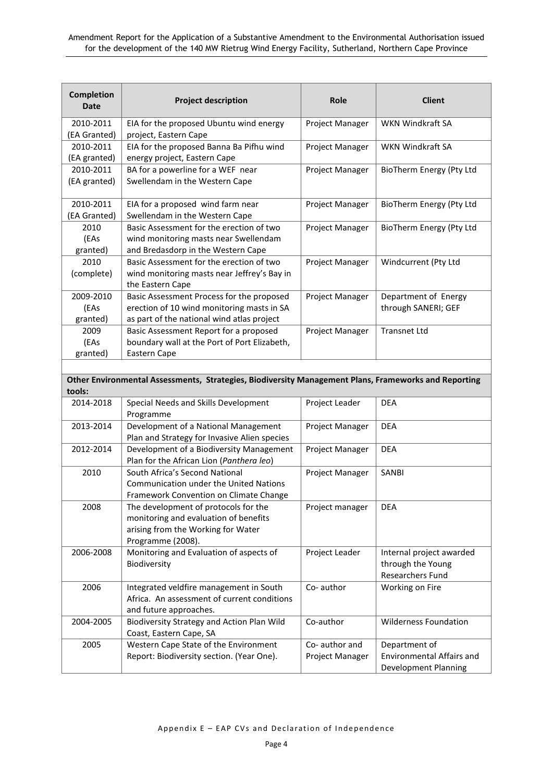| <b>Completion</b><br>Date | <b>Project description</b>                   | Role            | <b>Client</b>            |
|---------------------------|----------------------------------------------|-----------------|--------------------------|
| 2010-2011                 | EIA for the proposed Ubuntu wind energy      | Project Manager | <b>WKN Windkraft SA</b>  |
| (EA Granted)              | project, Eastern Cape                        |                 |                          |
| 2010-2011                 | EIA for the proposed Banna Ba Pifhu wind     | Project Manager | <b>WKN Windkraft SA</b>  |
| (EA granted)              | energy project, Eastern Cape                 |                 |                          |
| 2010-2011                 | BA for a powerline for a WEF near            | Project Manager | BioTherm Energy (Pty Ltd |
| (EA granted)              | Swellendam in the Western Cape               |                 |                          |
| 2010-2011                 | EIA for a proposed wind farm near            | Project Manager | BioTherm Energy (Pty Ltd |
| (EA Granted)              | Swellendam in the Western Cape               |                 |                          |
| 2010                      | Basic Assessment for the erection of two     | Project Manager | BioTherm Energy (Pty Ltd |
| (EAs                      | wind monitoring masts near Swellendam        |                 |                          |
| granted)                  | and Bredasdorp in the Western Cape           |                 |                          |
| 2010                      | Basic Assessment for the erection of two     | Project Manager | Windcurrent (Pty Ltd     |
| (complete)                | wind monitoring masts near Jeffrey's Bay in  |                 |                          |
|                           | the Eastern Cape                             |                 |                          |
| 2009-2010                 | Basic Assessment Process for the proposed    | Project Manager | Department of Energy     |
| (EAs                      | erection of 10 wind monitoring masts in SA   |                 | through SANERI; GEF      |
| granted)                  | as part of the national wind atlas project   |                 |                          |
| 2009                      | Basic Assessment Report for a proposed       | Project Manager | <b>Transnet Ltd</b>      |
| (EAs                      | boundary wall at the Port of Port Elizabeth, |                 |                          |
| granted)                  | Eastern Cape                                 |                 |                          |

#### **Other Environmental Assessments, Strategies, Biodiversity Management Plans, Frameworks and Reporting tools:**

| 2014-2018 | Special Needs and Skills Development<br>Programme                                                                                        | Project Leader                          | <b>DEA</b>                                                                |
|-----------|------------------------------------------------------------------------------------------------------------------------------------------|-----------------------------------------|---------------------------------------------------------------------------|
| 2013-2014 | Development of a National Management<br>Plan and Strategy for Invasive Alien species                                                     | Project Manager                         | <b>DEA</b>                                                                |
| 2012-2014 | Development of a Biodiversity Management<br>Plan for the African Lion (Panthera leo)                                                     | Project Manager                         | <b>DEA</b>                                                                |
| 2010      | South Africa's Second National<br><b>Communication under the United Nations</b><br>Framework Convention on Climate Change                | Project Manager                         | <b>SANBI</b>                                                              |
| 2008      | The development of protocols for the<br>monitoring and evaluation of benefits<br>arising from the Working for Water<br>Programme (2008). | Project manager                         | <b>DEA</b>                                                                |
| 2006-2008 | Monitoring and Evaluation of aspects of<br>Biodiversity                                                                                  | Project Leader                          | Internal project awarded<br>through the Young<br><b>Researchers Fund</b>  |
| 2006      | Integrated veldfire management in South<br>Africa. An assessment of current conditions<br>and future approaches.                         | Co-author                               | Working on Fire                                                           |
| 2004-2005 | Biodiversity Strategy and Action Plan Wild<br>Coast, Eastern Cape, SA                                                                    | Co-author                               | <b>Wilderness Foundation</b>                                              |
| 2005      | Western Cape State of the Environment<br>Report: Biodiversity section. (Year One).                                                       | Co-author and<br><b>Project Manager</b> | Department of<br><b>Environmental Affairs and</b><br>Development Planning |